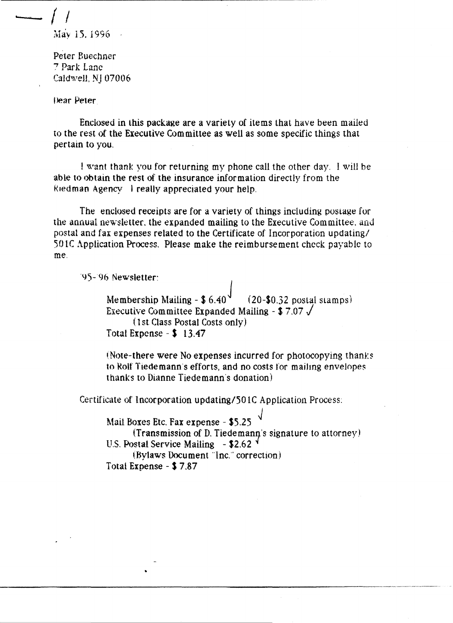**- - f** I  $M$ ay 15. 1996  $\frac{1}{2}$ 

Peter Buechner 7 Park Lane CaldweJ!, NJ 07006

-----------------------~ ~~-~~-~~~~~-~~~~~

Dear Peter

Enclosed in this package are a variety of items that have been mailed to the rest of the Executive Committee as well as some specific things that pertain to you.

I want thank you for returning my phone call the other day, I will be able to obtain the rest of the insurance information directly from the f.(ledman Agency I really appreciated your help,

The enclosed receipts are for a variety of things including postage for the annual newsletter. the expanded mailing to the Executive Committee, and postal and fax expenses related to the Certificate of Incorporation updating/ 501C Application Process. Please make the reimbursement check payable to me,

(1)-96 Newsletter'

•

Membership Mailing  $\frac{26.40^9}{20.32}$  postal stamps) Executive Committee Expanded Mailing - \$7.07  $\sqrt{ }$ ( 1 5t. Class Postal Costs only) Total Expense  $-$  \$ 13.47

(Note-there were No expenses incurred for photocopying thanks) to Rolf Tiedemann's efforts, and no costs for mailing envelopes thanks to Dianne Tiedemann's donation)

Certificate of Incorporation updating/SO IC Application Process:

Mail Boxes Etc. Fax expense - \$5.25  $(Transmission of D. Tiedemann's signature to attempt)$ U.S. Postal Service Mailing  $-$  \$2.62  $<sup>4</sup>$ </sup> I.Bylaws Document "Inc," correction) Total Expense - S 7.87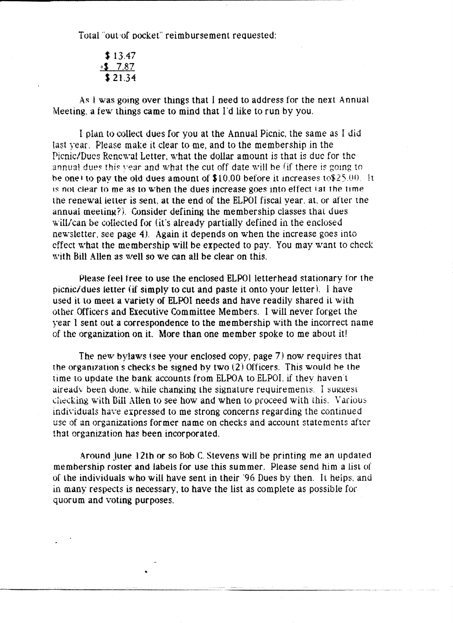Total "out-of pocket" reimbursement requested:

$$
\begin{array}{r} \textbf{3.47} \\ \textbf{13.47} \\ \textbf{3.7.87} \\ \textbf{3.21.34} \end{array}
$$

As I was going over things that I need to address for the next Annual  $\mathbf{M}$ eeting, a few things came to mind that I'd like to run by you,

I plan to collect dues for you at the Annual Picnic, the same as I did last year. Please make it clear to me, and to the membership in the Picnic/Dues Renewal Letter, what the dollar amount is that is due for the annual dues this year and what the cut off date will be (if there is going to be one) to pay the old dues amount of  $$10.00$  before it increases to $$25.00$ . It  $\overline{18}$  not clear to me as to when the dues increase goes into effect (at the time the renewal letter is sent, at the end of the ELPOI fiscal year, at, or after the annual meeting?). Consider defining the membership classes that dues will/can be collected for (it's already partially defined in the enclosed newsletter, see page 4). Again it depends on when the increase goes into effect what the membership wilt be expected to pay. You may want to check with Bill Allen as well so we can all be clear on this.

Please feel free to use the enclosed ELPOI letterhead stationary for the picnic/dues letter (if simply to cut and paste it onto your letter). I have used it to meet a variety of ELPOI needs and have readily shared it with other Officers and Executive Committee Members. I will never forget the year I sent out a correspondence to the membership with the incorrect name of the organization on it. More than one member spoke to me about it!

The new bylaws (see your enclosed copy, page 7) now requires that the organization's checks be signed by two  $(2)$  Officers. This would be the time to update the bank accounts from ELPOA to ELPOL if they haven't aiready been done, while changing the signature requirements. I suggest checking with Bill Allen to see how and when to proceed with this. Various individuals have expressed to me strong concerns regarding the continued use of an organizations former name on checks and account statements after that organization has been incorporated.

Around June 12th or so Bob C. Stevens will be printing me an updated membership roster and labels for use this summer. Please send him a list of of the individuals who will have sent in their '96 Dues by then. It heips, and in many respects is necessary. to have the list as complete as possible for quorum and voting purposes .

.\_---\_., ... \_--------

•